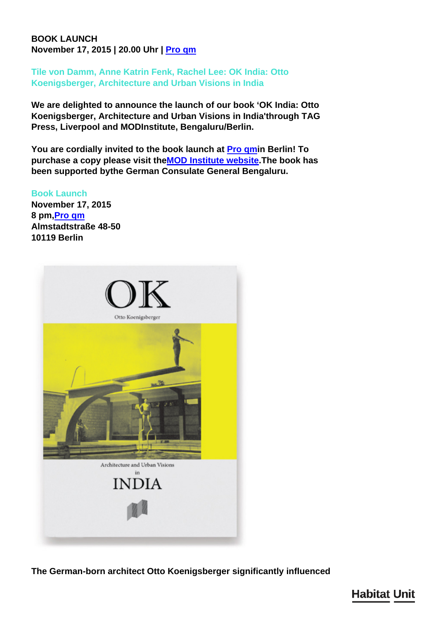## **BOOK LAUNCH November 17, 2015 | 20.00 Uhr | [Pro qm](http://www.pro-qm.de/events)**

**Tile von Damm, Anne Katrin Fenk, Rachel Lee: OK India: Otto Koenigsberger, Architecture and Urban Visions in India**

**We are delighted to announce the launch of our book 'OK India: Otto Koenigsberger, Architecture and Urban Visions in India'through TAG Press, Liverpool and MODInstitute, Bengaluru/Berlin.**

**You are cordially invited to the book launch at [Pro qmi](http://www.pro-qm.de/events)n Berlin! To purchase a copy please visit the[MOD Institute website.](http://www.mod.org.in/mod/out-now-ok-india-otto-koenigsberger/)The book has been supported bythe German Consulate General Bengaluru.**

**Book Launch**

**November 17, 2015 8 pm,[Pro qm](http://www.pro-qm.de/events) Almstadtstraße 48-50 10119 Berlin**



**The German-born architect Otto Koenigsberger significantly influenced**

**Habitat Unit**